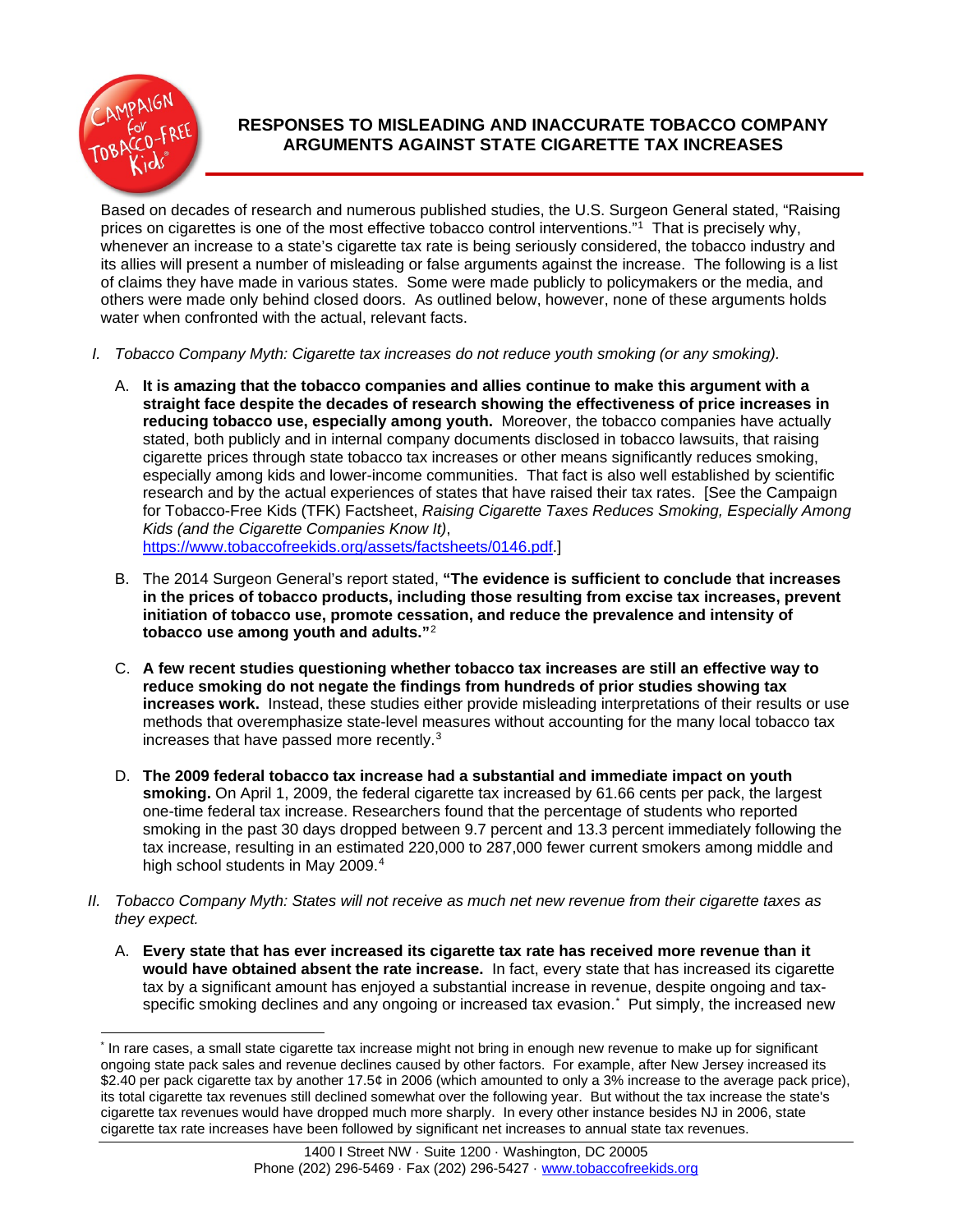

## **RESPONSES TO MISLEADING AND INACCURATE TOBACCO COMPANY ARGUMENTS AGAINST STATE CIGARETTE TAX INCREASES**

Based on decades of research and numerous published studies, the U.S. Surgeon General stated, "Raising prices on cigarettes is one of the most effective tobacco control interventions.<sup>"1</sup> That is precisely why, whenever an increase to a state's cigarette tax rate is being seriously considered, the tobacco industry and its allies will present a number of misleading or false arguments against the increase. The following is a list of claims they have made in various states. Some were made publicly to policymakers or the media, and others were made only behind closed doors. As outlined below, however, none of these arguments holds water when confronted with the actual, relevant facts.

- *I. Tobacco Company Myth: Cigarette tax increases do not reduce youth smoking (or any smoking).*
	- A. **It is amazing that the tobacco companies and allies continue to make this argument with a straight face despite the decades of research showing the effectiveness of price increases in reducing tobacco use, especially among youth.** Moreover, the tobacco companies have actually stated, both publicly and in internal company documents disclosed in tobacco lawsuits, that raising cigarette prices through state tobacco tax increases or other means significantly reduces smoking, especially among kids and lower-income communities. That fact is also well established by scientific research and by the actual experiences of states that have raised their tax rates. [See the Campaign for Tobacco-Free Kids (TFK) Factsheet, *Raising Cigarette Taxes Reduces Smoking, Especially Among Kids (and the Cigarette Companies Know It)*, [https://www.tobaccofreekids.org/assets/factsheets/0146.pdf.](https://www.tobaccofreekids.org/assets/factsheets/0146.pdf)]
	- B. The 2014 Surgeon General's report stated, **"The evidence is sufficient to conclude that increases in the prices of tobacco products, including those resulting from excise tax increases, prevent initiation of tobacco use, promote cessation, and reduce the prevalence and intensity of tobacco use among youth and adults."**[2](#page-11-1)
	- C. **A few recent studies questioning whether tobacco tax increases are still an effective way to reduce smoking do not negate the findings from hundreds of prior studies showing tax increases work.** Instead, these studies either provide misleading interpretations of their results or use methods that overemphasize state-level measures without accounting for the many local tobacco tax increases that have passed more recently.[3](#page-11-2)
	- D. **The 2009 federal tobacco tax increase had a substantial and immediate impact on youth smoking.** On April 1, 2009, the federal cigarette tax increased by 61.66 cents per pack, the largest one-time federal tax increase. Researchers found that the percentage of students who reported smoking in the past 30 days dropped between 9.7 percent and 13.3 percent immediately following the tax increase, resulting in an estimated 220,000 to 287,000 fewer current smokers among middle and high school students in May 2009.<sup>4</sup>
- *II. Tobacco Company Myth: States will not receive as much net new revenue from their cigarette taxes as they expect.*
	- A. **Every state that has ever increased its cigarette tax rate has received more revenue than it would have obtained absent the rate increase.** In fact, every state that has increased its cigarette tax by a significant amount has enjoyed a substantial increase in revenue, despite ongoing and tax-specific smoking declines and any ongoing or increased tax evasion.<sup>[\\*](#page-0-0)</sup> Put simply, the increased new

<span id="page-0-0"></span><sup>\*</sup> In rare cases, a small state cigarette tax increase might not bring in enough new revenue to make up for significant ongoing state pack sales and revenue declines caused by other factors. For example, after New Jersey increased its \$2.40 per pack cigarette tax by another 17.5¢ in 2006 (which amounted to only a 3% increase to the average pack price), its total cigarette tax revenues still declined somewhat over the following year. But without the tax increase the state's cigarette tax revenues would have dropped much more sharply. In every other instance besides NJ in 2006, state cigarette tax rate increases have been followed by significant net increases to annual state tax revenues.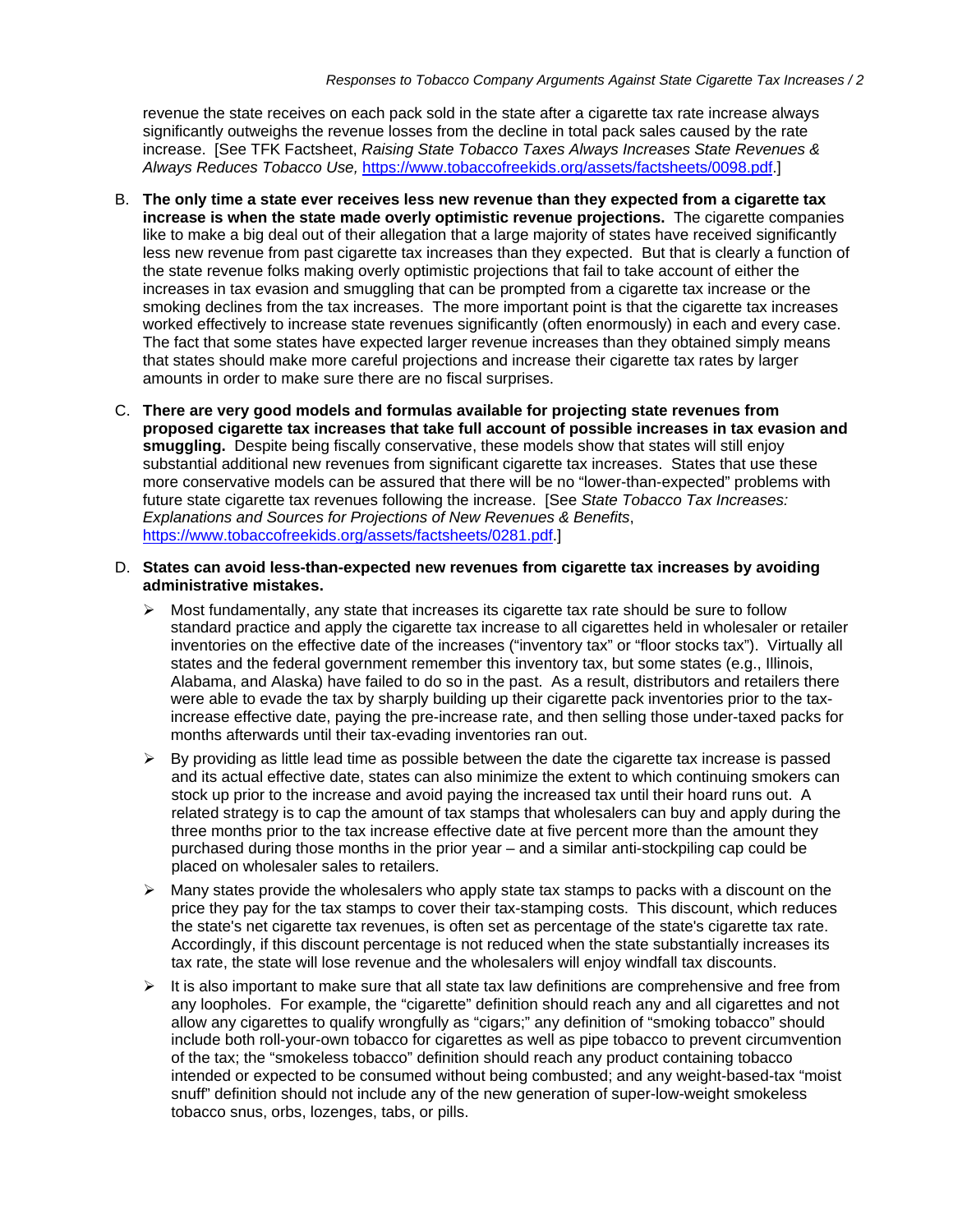revenue the state receives on each pack sold in the state after a cigarette tax rate increase always significantly outweighs the revenue losses from the decline in total pack sales caused by the rate increase. [See TFK Factsheet, *Raising State Tobacco Taxes Always Increases State Revenues & Always Reduces Tobacco Use,* [https://www.tobaccofreekids.org/assets/factsheets/0098.pdf.](https://www.tobaccofreekids.org/assets/factsheets/0098.pdf)]

- B. **The only time a state ever receives less new revenue than they expected from a cigarette tax increase is when the state made overly optimistic revenue projections.** The cigarette companies like to make a big deal out of their allegation that a large majority of states have received significantly less new revenue from past cigarette tax increases than they expected. But that is clearly a function of the state revenue folks making overly optimistic projections that fail to take account of either the increases in tax evasion and smuggling that can be prompted from a cigarette tax increase or the smoking declines from the tax increases. The more important point is that the cigarette tax increases worked effectively to increase state revenues significantly (often enormously) in each and every case. The fact that some states have expected larger revenue increases than they obtained simply means that states should make more careful projections and increase their cigarette tax rates by larger amounts in order to make sure there are no fiscal surprises.
- C. **There are very good models and formulas available for projecting state revenues from proposed cigarette tax increases that take full account of possible increases in tax evasion and smuggling.** Despite being fiscally conservative, these models show that states will still enjoy substantial additional new revenues from significant cigarette tax increases. States that use these more conservative models can be assured that there will be no "lower-than-expected" problems with future state cigarette tax revenues following the increase. [See *State Tobacco Tax Increases: Explanations and Sources for Projections of New Revenues & Benefits*, [https://www.tobaccofreekids.org/assets/factsheets/0281.pdf.](https://www.tobaccofreekids.org/assets/factsheets/0281.pdf)]
- D. **States can avoid less-than-expected new revenues from cigarette tax increases by avoiding administrative mistakes.** 
	- $\triangleright$  Most fundamentally, any state that increases its cigarette tax rate should be sure to follow standard practice and apply the cigarette tax increase to all cigarettes held in wholesaler or retailer inventories on the effective date of the increases ("inventory tax" or "floor stocks tax"). Virtually all states and the federal government remember this inventory tax, but some states (e.g., Illinois, Alabama, and Alaska) have failed to do so in the past. As a result, distributors and retailers there were able to evade the tax by sharply building up their cigarette pack inventories prior to the taxincrease effective date, paying the pre-increase rate, and then selling those under-taxed packs for months afterwards until their tax-evading inventories ran out.
	- $\triangleright$  By providing as little lead time as possible between the date the cigarette tax increase is passed and its actual effective date, states can also minimize the extent to which continuing smokers can stock up prior to the increase and avoid paying the increased tax until their hoard runs out. A related strategy is to cap the amount of tax stamps that wholesalers can buy and apply during the three months prior to the tax increase effective date at five percent more than the amount they purchased during those months in the prior year – and a similar anti-stockpiling cap could be placed on wholesaler sales to retailers.
	- $\triangleright$  Many states provide the wholesalers who apply state tax stamps to packs with a discount on the price they pay for the tax stamps to cover their tax-stamping costs. This discount, which reduces the state's net cigarette tax revenues, is often set as percentage of the state's cigarette tax rate. Accordingly, if this discount percentage is not reduced when the state substantially increases its tax rate, the state will lose revenue and the wholesalers will enjoy windfall tax discounts.
	- $\triangleright$  It is also important to make sure that all state tax law definitions are comprehensive and free from any loopholes. For example, the "cigarette" definition should reach any and all cigarettes and not allow any cigarettes to qualify wrongfully as "cigars;" any definition of "smoking tobacco" should include both roll-your-own tobacco for cigarettes as well as pipe tobacco to prevent circumvention of the tax; the "smokeless tobacco" definition should reach any product containing tobacco intended or expected to be consumed without being combusted; and any weight-based-tax "moist snuff" definition should not include any of the new generation of super-low-weight smokeless tobacco snus, orbs, lozenges, tabs, or pills.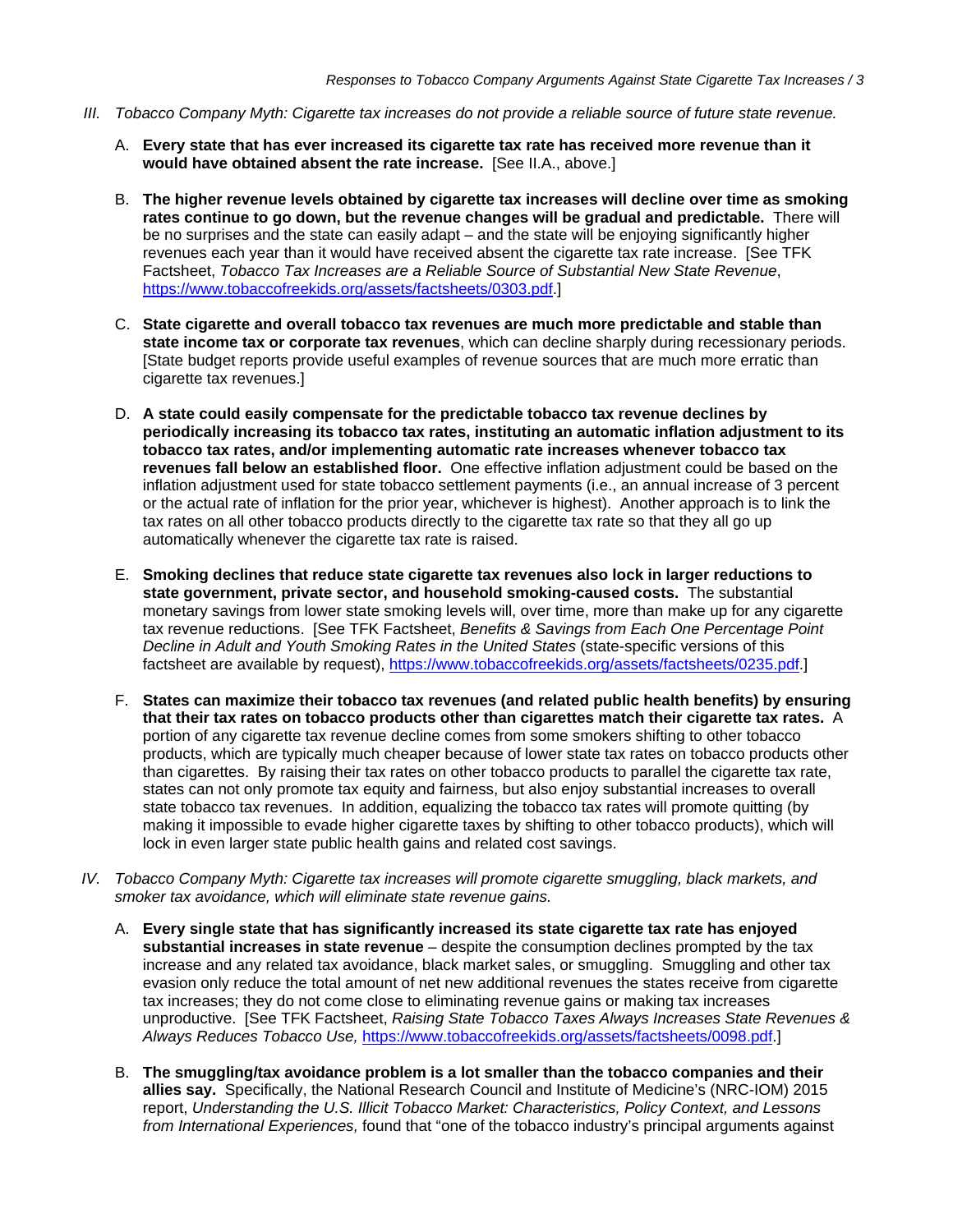- *III. Tobacco Company Myth: Cigarette tax increases do not provide a reliable source of future state revenue.*
	- A. **Every state that has ever increased its cigarette tax rate has received more revenue than it would have obtained absent the rate increase.** [See II.A., above.]
	- B. **The higher revenue levels obtained by cigarette tax increases will decline over time as smoking rates continue to go down, but the revenue changes will be gradual and predictable.** There will be no surprises and the state can easily adapt – and the state will be enjoying significantly higher revenues each year than it would have received absent the cigarette tax rate increase. [See TFK Factsheet, *Tobacco Tax Increases are a Reliable Source of Substantial New State Revenue*, [https://www.tobaccofreekids.org/assets/factsheets/0303.pdf.](https://www.tobaccofreekids.org/assets/factsheets/0303.pdf)]
	- C. **State cigarette and overall tobacco tax revenues are much more predictable and stable than state income tax or corporate tax revenues**, which can decline sharply during recessionary periods. [State budget reports provide useful examples of revenue sources that are much more erratic than cigarette tax revenues.]
	- D. **A state could easily compensate for the predictable tobacco tax revenue declines by periodically increasing its tobacco tax rates, instituting an automatic inflation adjustment to its tobacco tax rates, and/or implementing automatic rate increases whenever tobacco tax revenues fall below an established floor.** One effective inflation adjustment could be based on the inflation adjustment used for state tobacco settlement payments (i.e., an annual increase of 3 percent or the actual rate of inflation for the prior year, whichever is highest). Another approach is to link the tax rates on all other tobacco products directly to the cigarette tax rate so that they all go up automatically whenever the cigarette tax rate is raised.
	- E. **Smoking declines that reduce state cigarette tax revenues also lock in larger reductions to state government, private sector, and household smoking-caused costs.** The substantial monetary savings from lower state smoking levels will, over time, more than make up for any cigarette tax revenue reductions. [See TFK Factsheet, *Benefits & Savings from Each One Percentage Point Decline in Adult and Youth Smoking Rates in the United States* (state-specific versions of this factsheet are available by request), [https://www.tobaccofreekids.org/assets/factsheets/0235.pdf.](https://www.tobaccofreekids.org/assets/factsheets/0235.pdf)]
	- F. **States can maximize their tobacco tax revenues (and related public health benefits) by ensuring that their tax rates on tobacco products other than cigarettes match their cigarette tax rates.** A portion of any cigarette tax revenue decline comes from some smokers shifting to other tobacco products, which are typically much cheaper because of lower state tax rates on tobacco products other than cigarettes. By raising their tax rates on other tobacco products to parallel the cigarette tax rate, states can not only promote tax equity and fairness, but also enjoy substantial increases to overall state tobacco tax revenues. In addition, equalizing the tobacco tax rates will promote quitting (by making it impossible to evade higher cigarette taxes by shifting to other tobacco products), which will lock in even larger state public health gains and related cost savings.
- *IV. Tobacco Company Myth: Cigarette tax increases will promote cigarette smuggling, black markets, and smoker tax avoidance, which will eliminate state revenue gains.*
	- A. **Every single state that has significantly increased its state cigarette tax rate has enjoyed substantial increases in state revenue** – despite the consumption declines prompted by the tax increase and any related tax avoidance, black market sales, or smuggling. Smuggling and other tax evasion only reduce the total amount of net new additional revenues the states receive from cigarette tax increases; they do not come close to eliminating revenue gains or making tax increases unproductive. [See TFK Factsheet, *Raising State Tobacco Taxes Always Increases State Revenues & Always Reduces Tobacco Use,* [https://www.tobaccofreekids.org/assets/factsheets/0098.pdf.](https://www.tobaccofreekids.org/assets/factsheets/0098.pdf)]
	- B. **The smuggling/tax avoidance problem is a lot smaller than the tobacco companies and their allies say.** Specifically, the National Research Council and Institute of Medicine's (NRC-IOM) 2015 report, *Understanding the U.S. Illicit Tobacco Market: Characteristics, Policy Context, and Lessons from International Experiences,* found that "one of the tobacco industry's principal arguments against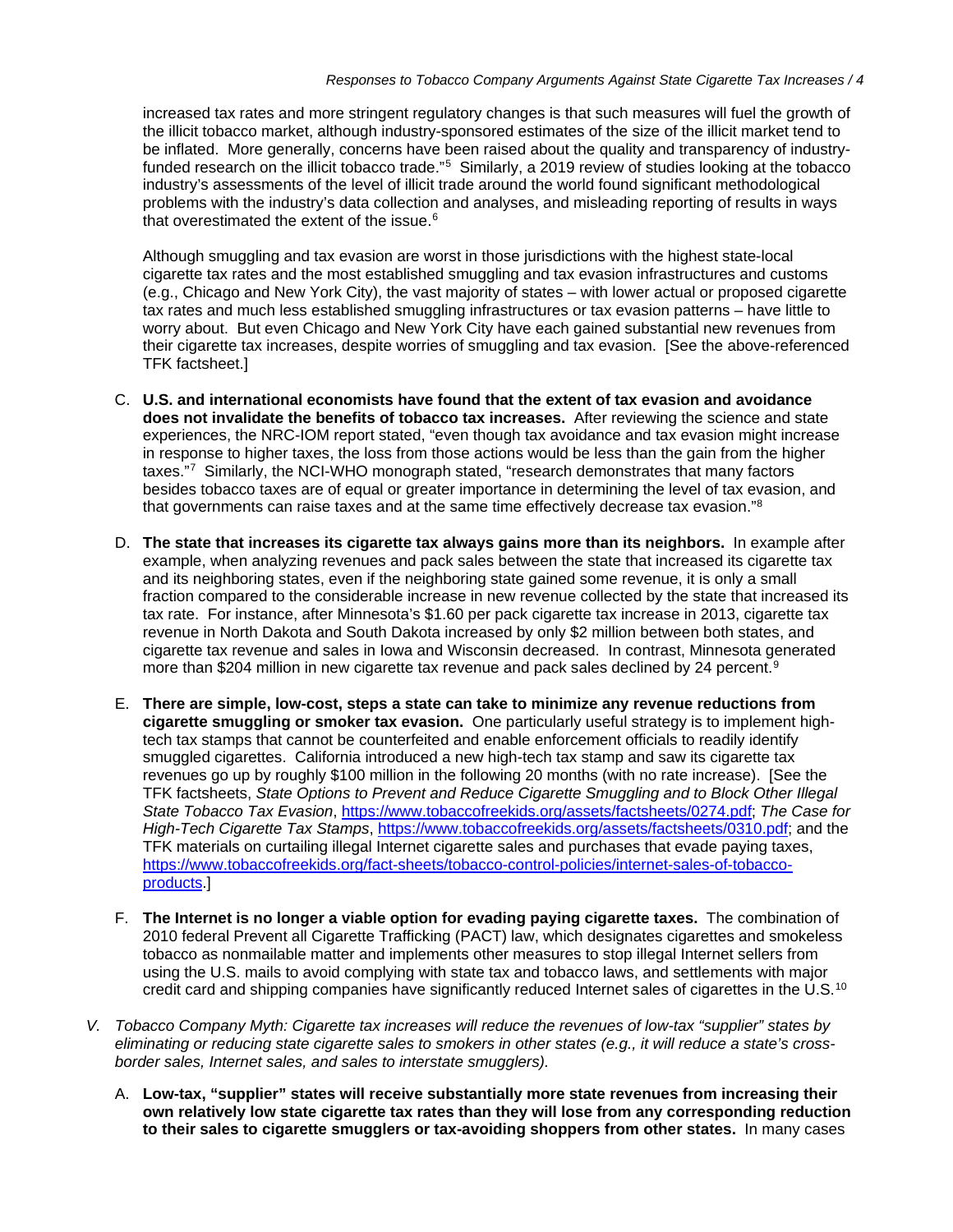increased tax rates and more stringent regulatory changes is that such measures will fuel the growth of the illicit tobacco market, although industry-sponsored estimates of the size of the illicit market tend to be inflated. More generally, concerns have been raised about the quality and transparency of industryfunded research on the illicit tobacco trade."<sup>5</sup> Similarly, a 2019 review of studies looking at the tobacco industry's assessments of the level of illicit trade around the world found significant methodological problems with the industry's data collection and analyses, and misleading reporting of results in ways that overestimated the extent of the issue. [6](#page-11-5)

Although smuggling and tax evasion are worst in those jurisdictions with the highest state-local cigarette tax rates and the most established smuggling and tax evasion infrastructures and customs (e.g., Chicago and New York City), the vast majority of states – with lower actual or proposed cigarette tax rates and much less established smuggling infrastructures or tax evasion patterns – have little to worry about. But even Chicago and New York City have each gained substantial new revenues from their cigarette tax increases, despite worries of smuggling and tax evasion. [See the above-referenced TFK factsheet.]

- C. **U.S. and international economists have found that the extent of tax evasion and avoidance does not invalidate the benefits of tobacco tax increases.** After reviewing the science and state experiences, the NRC-IOM report stated, "even though tax avoidance and tax evasion might increase in response to higher taxes, the loss from those actions would be less than the gain from the higher taxes."<sup>7</sup> Similarly, the NCI-WHO monograph stated, "research demonstrates that many factors" besides tobacco taxes are of equal or greater importance in determining the level of tax evasion, and that governments can raise taxes and at the same time effectively decrease tax evasion.["8](#page-11-7)
- D. **The state that increases its cigarette tax always gains more than its neighbors.** In example after example, when analyzing revenues and pack sales between the state that increased its cigarette tax and its neighboring states, even if the neighboring state gained some revenue, it is only a small fraction compared to the considerable increase in new revenue collected by the state that increased its tax rate. For instance, after Minnesota's \$1.60 per pack cigarette tax increase in 2013, cigarette tax revenue in North Dakota and South Dakota increased by only \$2 million between both states, and cigarette tax revenue and sales in Iowa and Wisconsin decreased. In contrast, Minnesota generated more than \$204 million in new cigarette tax revenue and pack sales declined by 24 percent.<sup>[9](#page-11-8)</sup>
- E. **There are simple, low-cost, steps a state can take to minimize any revenue reductions from cigarette smuggling or smoker tax evasion.** One particularly useful strategy is to implement hightech tax stamps that cannot be counterfeited and enable enforcement officials to readily identify smuggled cigarettes. California introduced a new high-tech tax stamp and saw its cigarette tax revenues go up by roughly \$100 million in the following 20 months (with no rate increase). [See the TFK factsheets, *State Options to Prevent and Reduce Cigarette Smuggling and to Block Other Illegal State Tobacco Tax Evasion*, [https://www.tobaccofreekids.org/assets/factsheets/0274.pdf;](https://www.tobaccofreekids.org/assets/factsheets/0274.pdf) *The Case for High-Tech Cigarette Tax Stamps*, [https://www.tobaccofreekids.org/assets/factsheets/0310.pdf;](https://www.tobaccofreekids.org/assets/factsheets/0310.pdf) and the TFK materials on curtailing illegal Internet cigarette sales and purchases that evade paying taxes, [https://www.tobaccofreekids.org/fact-sheets/tobacco-control-policies/internet-sales-of-tobacco](https://www.tobaccofreekids.org/fact-sheets/tobacco-control-policies/internet-sales-of-tobacco-products)[products.](https://www.tobaccofreekids.org/fact-sheets/tobacco-control-policies/internet-sales-of-tobacco-products)]
- F. **The Internet is no longer a viable option for evading paying cigarette taxes.** The combination of 2010 federal Prevent all Cigarette Trafficking (PACT) law, which designates cigarettes and smokeless tobacco as nonmailable matter and implements other measures to stop illegal Internet sellers from using the U.S. mails to avoid complying with state tax and tobacco laws, and settlements with major credit card and shipping companies have significantly reduced Internet sales of cigarettes in the U.S.<sup>[10](#page-11-9)</sup>
- *V. Tobacco Company Myth: Cigarette tax increases will reduce the revenues of low-tax "supplier" states by eliminating or reducing state cigarette sales to smokers in other states (e.g., it will reduce a state's crossborder sales, Internet sales, and sales to interstate smugglers).*
	- A. **Low-tax, "supplier" states will receive substantially more state revenues from increasing their own relatively low state cigarette tax rates than they will lose from any corresponding reduction to their sales to cigarette smugglers or tax-avoiding shoppers from other states.** In many cases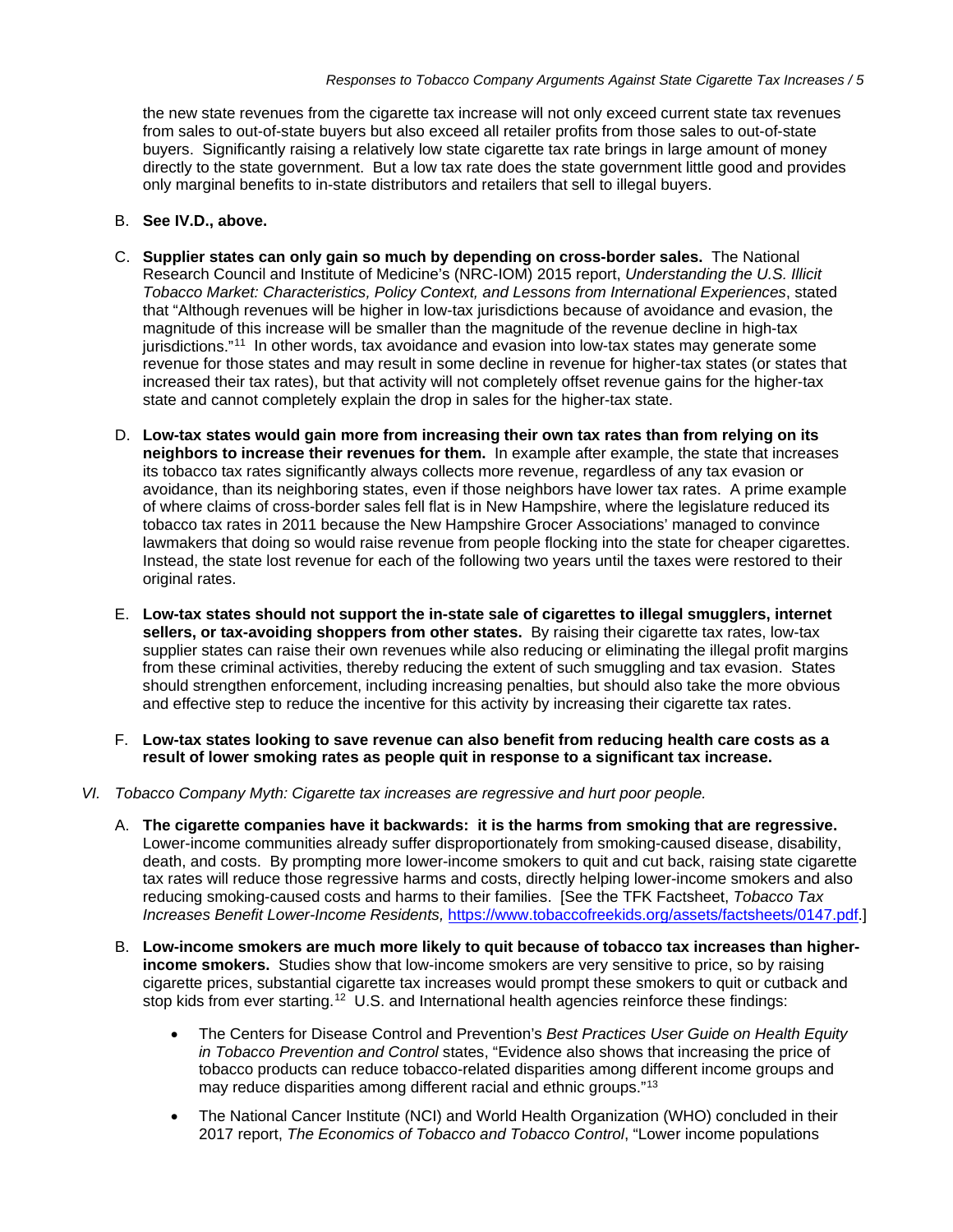the new state revenues from the cigarette tax increase will not only exceed current state tax revenues from sales to out-of-state buyers but also exceed all retailer profits from those sales to out-of-state buyers. Significantly raising a relatively low state cigarette tax rate brings in large amount of money directly to the state government. But a low tax rate does the state government little good and provides only marginal benefits to in-state distributors and retailers that sell to illegal buyers.

## B. **See IV.D., above.**

- C. **Supplier states can only gain so much by depending on cross-border sales.** The National Research Council and Institute of Medicine's (NRC-IOM) 2015 report, *Understanding the U.S. Illicit Tobacco Market: Characteristics, Policy Context, and Lessons from International Experiences*, stated that "Although revenues will be higher in low-tax jurisdictions because of avoidance and evasion, the magnitude of this increase will be smaller than the magnitude of the revenue decline in high-tax jurisdictions."[11](#page-11-10) In other words, tax avoidance and evasion into low-tax states may generate some revenue for those states and may result in some decline in revenue for higher-tax states (or states that increased their tax rates), but that activity will not completely offset revenue gains for the higher-tax state and cannot completely explain the drop in sales for the higher-tax state.
- D. **Low-tax states would gain more from increasing their own tax rates than from relying on its neighbors to increase their revenues for them.** In example after example, the state that increases its tobacco tax rates significantly always collects more revenue, regardless of any tax evasion or avoidance, than its neighboring states, even if those neighbors have lower tax rates. A prime example of where claims of cross-border sales fell flat is in New Hampshire, where the legislature reduced its tobacco tax rates in 2011 because the New Hampshire Grocer Associations' managed to convince lawmakers that doing so would raise revenue from people flocking into the state for cheaper cigarettes. Instead, the state lost revenue for each of the following two years until the taxes were restored to their original rates.
- E. **Low-tax states should not support the in-state sale of cigarettes to illegal smugglers, internet sellers, or tax-avoiding shoppers from other states.** By raising their cigarette tax rates, low-tax supplier states can raise their own revenues while also reducing or eliminating the illegal profit margins from these criminal activities, thereby reducing the extent of such smuggling and tax evasion. States should strengthen enforcement, including increasing penalties, but should also take the more obvious and effective step to reduce the incentive for this activity by increasing their cigarette tax rates.
- F. **Low-tax states looking to save revenue can also benefit from reducing health care costs as a result of lower smoking rates as people quit in response to a significant tax increase.**
- *VI. Tobacco Company Myth: Cigarette tax increases are regressive and hurt poor people.*
	- A. **The cigarette companies have it backwards: it is the harms from smoking that are regressive.**  Lower-income communities already suffer disproportionately from smoking-caused disease, disability, death, and costs. By prompting more lower-income smokers to quit and cut back, raising state cigarette tax rates will reduce those regressive harms and costs, directly helping lower-income smokers and also reducing smoking-caused costs and harms to their families. [See the TFK Factsheet, *Tobacco Tax Increases Benefit Lower-Income Residents,* [https://www.tobaccofreekids.org/assets/factsheets/0147.pdf.](https://www.tobaccofreekids.org/assets/factsheets/0147.pdf)]
	- B. **Low-income smokers are much more likely to quit because of tobacco tax increases than higherincome smokers.** Studies show that low-income smokers are very sensitive to price, so by raising cigarette prices, substantial cigarette tax increases would prompt these smokers to quit or cutback and stop kids from ever starting.<sup>[12](#page-11-11)</sup> U.S. and International health agencies reinforce these findings:
		- The Centers for Disease Control and Prevention's *Best Practices User Guide on Health Equity in Tobacco Prevention and Control* states, "Evidence also shows that increasing the price of tobacco products can reduce tobacco-related disparities among different income groups and may reduce disparities among different racial and ethnic groups."[13](#page-11-12)
		- The National Cancer Institute (NCI) and World Health Organization (WHO) concluded in their 2017 report, *The Economics of Tobacco and Tobacco Control*, "Lower income populations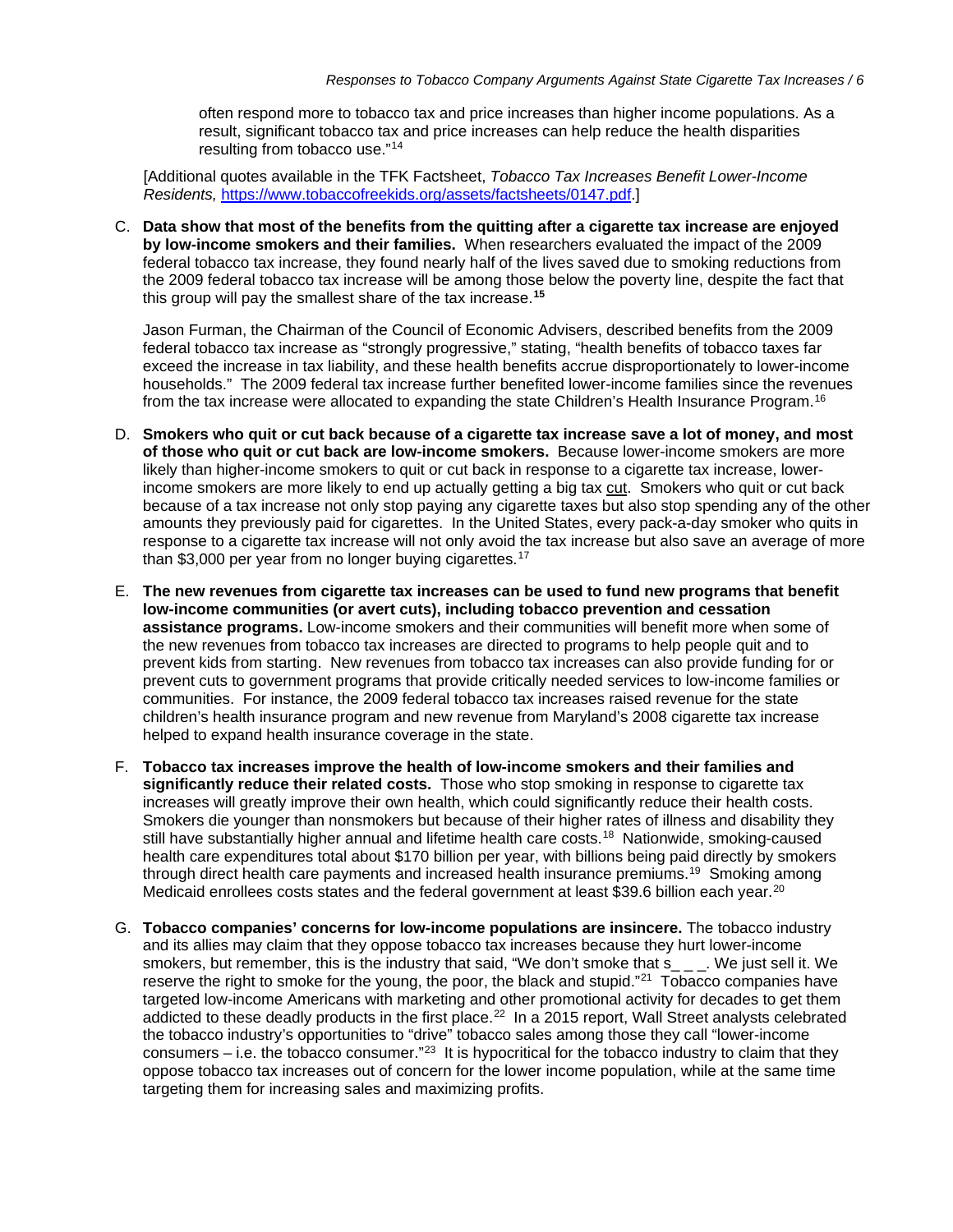often respond more to tobacco tax and price increases than higher income populations. As a result, significant tobacco tax and price increases can help reduce the health disparities resulting from tobacco use."[14](#page-11-13)

[Additional quotes available in the TFK Factsheet, *Tobacco Tax Increases Benefit Lower-Income Residents,* [https://www.tobaccofreekids.org/assets/factsheets/0147.pdf.](https://www.tobaccofreekids.org/assets/factsheets/0147.pdf)]

C. **Data show that most of the benefits from the quitting after a cigarette tax increase are enjoyed by low-income smokers and their families.** When researchers evaluated the impact of the 2009 federal tobacco tax increase, they found nearly half of the lives saved due to smoking reductions from the 2009 federal tobacco tax increase will be among those below the poverty line, despite the fact that this group will pay the smallest share of the tax increase.**[15](#page-11-14)**

Jason Furman, the Chairman of the Council of Economic Advisers, described benefits from the 2009 federal tobacco tax increase as "strongly progressive," stating, "health benefits of tobacco taxes far exceed the increase in tax liability, and these health benefits accrue disproportionately to lower-income households." The 2009 federal tax increase further benefited lower-income families since the revenues from the tax increase were allocated to expanding the state Children's Health Insurance Program.<sup>[16](#page-11-15)</sup>

- D. **Smokers who quit or cut back because of a cigarette tax increase save a lot of money, and most of those who quit or cut back are low-income smokers.** Because lower-income smokers are more likely than higher-income smokers to quit or cut back in response to a cigarette tax increase, lowerincome smokers are more likely to end up actually getting a big tax cut. Smokers who quit or cut back because of a tax increase not only stop paying any cigarette taxes but also stop spending any of the other amounts they previously paid for cigarettes. In the United States, every pack-a-day smoker who quits in response to a cigarette tax increase will not only avoid the tax increase but also save an average of more than \$3,000 per year from no longer buying cigarettes.<sup>[17](#page-12-0)</sup>
- E. **The new revenues from cigarette tax increases can be used to fund new programs that benefit low-income communities (or avert cuts), including tobacco prevention and cessation assistance programs.** Low-income smokers and their communities will benefit more when some of the new revenues from tobacco tax increases are directed to programs to help people quit and to prevent kids from starting. New revenues from tobacco tax increases can also provide funding for or prevent cuts to government programs that provide critically needed services to low-income families or communities. For instance, the 2009 federal tobacco tax increases raised revenue for the state children's health insurance program and new revenue from Maryland's 2008 cigarette tax increase helped to expand health insurance coverage in the state.
- F. **Tobacco tax increases improve the health of low-income smokers and their families and significantly reduce their related costs.** Those who stop smoking in response to cigarette tax increases will greatly improve their own health, which could significantly reduce their health costs. Smokers die younger than nonsmokers but because of their higher rates of illness and disability they still have substantially higher annual and lifetime health care costs.<sup>[18](#page-12-1)</sup> Nationwide, smoking-caused health care expenditures total about \$170 billion per year, with billions being paid directly by smokers through direct health care payments and increased health insurance premiums.<sup>[19](#page-12-2)</sup> Smoking among Medicaid enrollees costs states and the federal government at least \$39.6 billion each year.<sup>[20](#page-12-3)</sup>
- G. **Tobacco companies' concerns for low-income populations are insincere.** The tobacco industry and its allies may claim that they oppose tobacco tax increases because they hurt lower-income smokers, but remember, this is the industry that said, "We don't smoke that s\_ \_ \_. We just sell it. We reserve the right to smoke for the young, the poor, the black and stupid."<sup>[21](#page-12-4)</sup> Tobacco companies have targeted low-income Americans with marketing and other promotional activity for decades to get them addicted to these deadly products in the first place.<sup>[22](#page-12-5)</sup> In a 2015 report, Wall Street analysts celebrated the tobacco industry's opportunities to "drive" tobacco sales among those they call "lower-income consumers – i.e. the tobacco consumer."<sup>[23](#page-12-6)</sup> It is hypocritical for the tobacco industry to claim that they oppose tobacco tax increases out of concern for the lower income population, while at the same time targeting them for increasing sales and maximizing profits.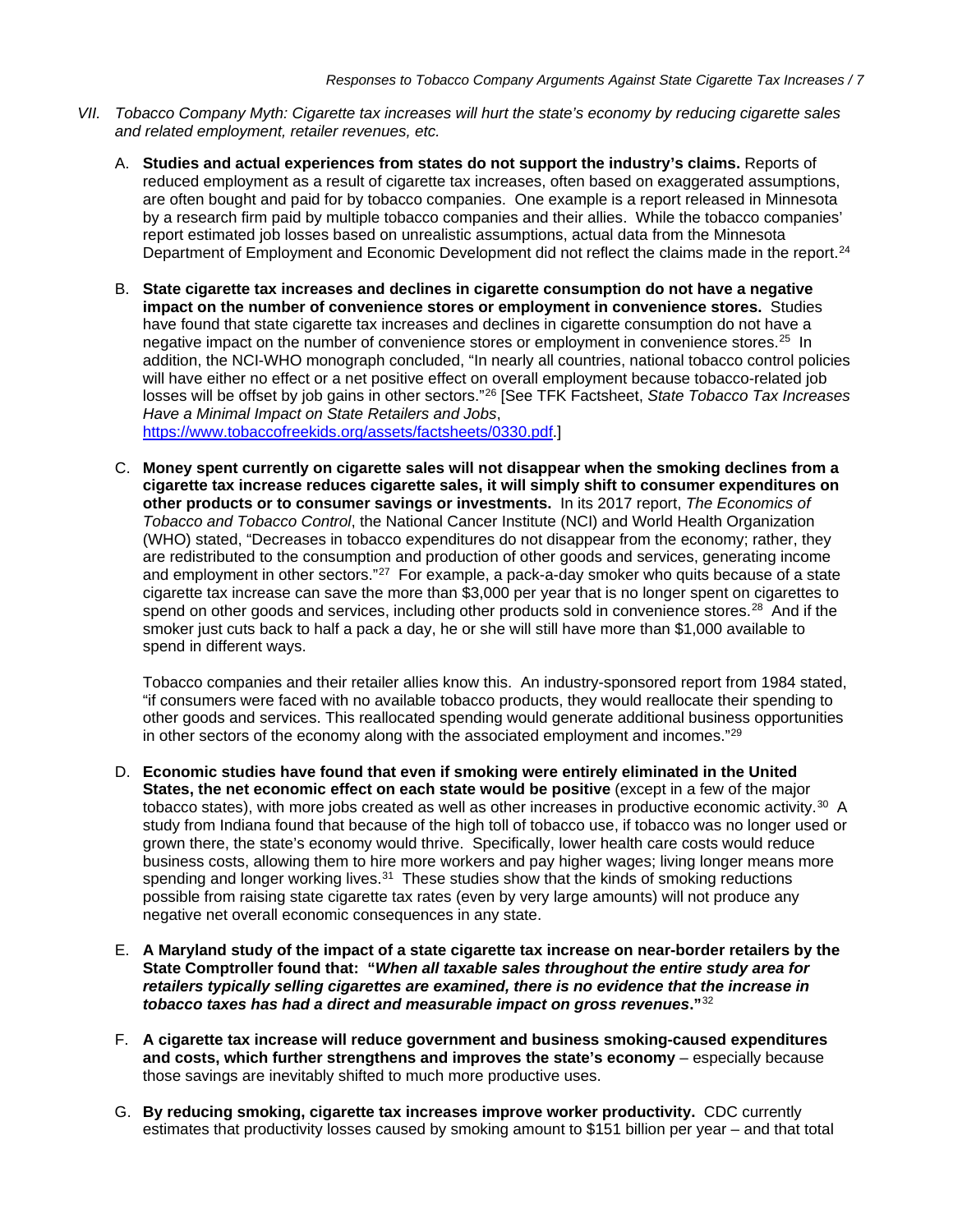- *VII. Tobacco Company Myth: Cigarette tax increases will hurt the state's economy by reducing cigarette sales and related employment, retailer revenues, etc.*
	- A. **Studies and actual experiences from states do not support the industry's claims.** Reports of reduced employment as a result of cigarette tax increases, often based on exaggerated assumptions, are often bought and paid for by tobacco companies. One example is a report released in Minnesota by a research firm paid by multiple tobacco companies and their allies. While the tobacco companies' report estimated job losses based on unrealistic assumptions, actual data from the Minnesota Department of Employment and Economic Development did not reflect the claims made in the report.<sup>[24](#page-12-7)</sup>
	- B. **State cigarette tax increases and declines in cigarette consumption do not have a negative impact on the number of convenience stores or employment in convenience stores.** Studies have found that state cigarette tax increases and declines in cigarette consumption do not have a negative impact on the number of convenience stores or employment in convenience stores.<sup>[25](#page-12-8)</sup> In addition, the NCI-WHO monograph concluded, "In nearly all countries, national tobacco control policies will have either no effect or a net positive effect on overall employment because tobacco-related job losses will be offset by job gains in other sectors."[26](#page-12-9) [See TFK Factsheet, *State Tobacco Tax Increases Have a Minimal Impact on State Retailers and Jobs*,

[https://www.tobaccofreekids.org/assets/factsheets/0330.pdf.](https://www.tobaccofreekids.org/assets/factsheets/0330.pdf)]

C. **Money spent currently on cigarette sales will not disappear when the smoking declines from a cigarette tax increase reduces cigarette sales, it will simply shift to consumer expenditures on other products or to consumer savings or investments.** In its 2017 report, *The Economics of Tobacco and Tobacco Control*, the National Cancer Institute (NCI) and World Health Organization (WHO) stated, "Decreases in tobacco expenditures do not disappear from the economy; rather, they are redistributed to the consumption and production of other goods and services, generating income and employment in other sectors."<sup>27</sup> For example, a pack-a-day smoker who quits because of a state cigarette tax increase can save the more than \$3,000 per year that is no longer spent on cigarettes to spend on other goods and services, including other products sold in convenience stores.<sup>[28](#page-12-11)</sup> And if the smoker just cuts back to half a pack a day, he or she will still have more than \$1,000 available to spend in different ways.

Tobacco companies and their retailer allies know this. An industry-sponsored report from 1984 stated, "if consumers were faced with no available tobacco products, they would reallocate their spending to other goods and services. This reallocated spending would generate additional business opportunities in other sectors of the economy along with the associated employment and incomes."[29](#page-12-12)

- D. **Economic studies have found that even if smoking were entirely eliminated in the United States, the net economic effect on each state would be positive** (except in a few of the major tobacco states), with more jobs created as well as other increases in productive economic activity. $30\,$  $30\,$  A study from Indiana found that because of the high toll of tobacco use, if tobacco was no longer used or grown there, the state's economy would thrive. Specifically, lower health care costs would reduce business costs, allowing them to hire more workers and pay higher wages; living longer means more spending and longer working lives. $31$  These studies show that the kinds of smoking reductions possible from raising state cigarette tax rates (even by very large amounts) will not produce any negative net overall economic consequences in any state.
- E. **A Maryland study of the impact of a state cigarette tax increase on near-border retailers by the State Comptroller found that: "***When all taxable sales throughout the entire study area for retailers typically selling cigarettes are examined, there is no evidence that the increase in tobacco taxes has had a direct and measurable impact on gross revenues***."**[32](#page-12-15)
- F. **A cigarette tax increase will reduce government and business smoking-caused expenditures and costs, which further strengthens and improves the state's economy** – especially because those savings are inevitably shifted to much more productive uses.
- G. **By reducing smoking, cigarette tax increases improve worker productivity.** CDC currently estimates that productivity losses caused by smoking amount to \$151 billion per year – and that total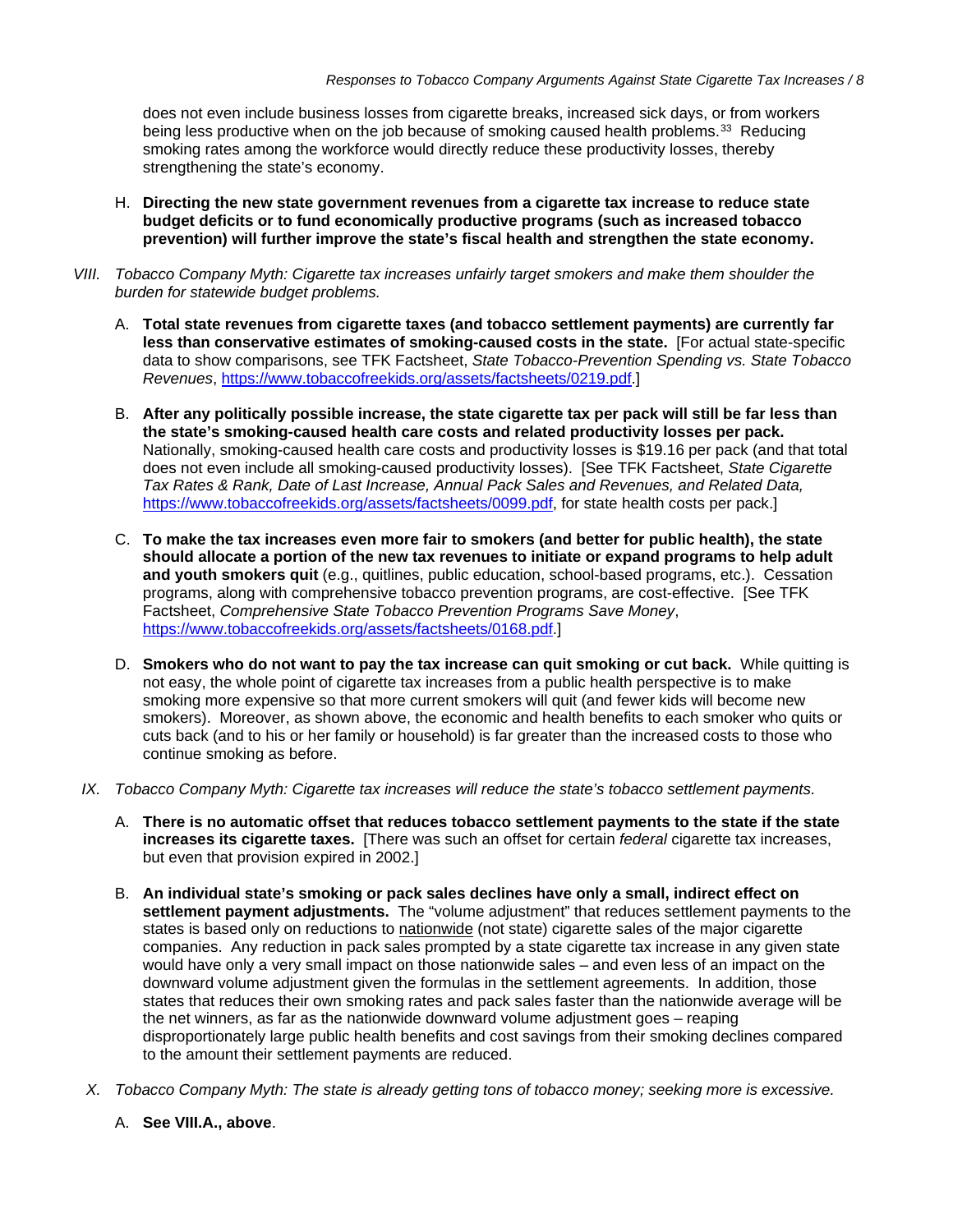does not even include business losses from cigarette breaks, increased sick days, or from workers being less productive when on the job because of smoking caused health problems.<sup>[33](#page-12-16)</sup> Reducing smoking rates among the workforce would directly reduce these productivity losses, thereby strengthening the state's economy.

- H. **Directing the new state government revenues from a cigarette tax increase to reduce state budget deficits or to fund economically productive programs (such as increased tobacco prevention) will further improve the state's fiscal health and strengthen the state economy.**
- *VIII. Tobacco Company Myth: Cigarette tax increases unfairly target smokers and make them shoulder the burden for statewide budget problems.*
	- A. **Total state revenues from cigarette taxes (and tobacco settlement payments) are currently far less than conservative estimates of smoking-caused costs in the state.** [For actual state-specific data to show comparisons, see TFK Factsheet, *State Tobacco-Prevention Spending vs. State Tobacco Revenues*, [https://www.tobaccofreekids.org/assets/factsheets/0219.pdf.](https://www.tobaccofreekids.org/assets/factsheets/0219.pdf)]
	- B. **After any politically possible increase, the state cigarette tax per pack will still be far less than the state's smoking-caused health care costs and related productivity losses per pack.**  Nationally, smoking-caused health care costs and productivity losses is \$19.16 per pack (and that total does not even include all smoking-caused productivity losses). [See TFK Factsheet, *State Cigarette Tax Rates & Rank, Date of Last Increase, Annual Pack Sales and Revenues, and Related Data,*  [https://www.tobaccofreekids.org/assets/factsheets/0099.pdf,](https://www.tobaccofreekids.org/assets/factsheets/0099.pdf) for state health costs per pack.]
	- C. **To make the tax increases even more fair to smokers (and better for public health), the state should allocate a portion of the new tax revenues to initiate or expand programs to help adult and youth smokers quit** (e.g., quitlines, public education, school-based programs, etc.). Cessation programs, along with comprehensive tobacco prevention programs, are cost-effective. [See TFK Factsheet, *Comprehensive State Tobacco Prevention Programs Save Money*, [https://www.tobaccofreekids.org/assets/factsheets/0168.pdf.](https://www.tobaccofreekids.org/assets/factsheets/0168.pdf)]
	- D. **Smokers who do not want to pay the tax increase can quit smoking or cut back.** While quitting is not easy, the whole point of cigarette tax increases from a public health perspective is to make smoking more expensive so that more current smokers will quit (and fewer kids will become new smokers). Moreover, as shown above, the economic and health benefits to each smoker who quits or cuts back (and to his or her family or household) is far greater than the increased costs to those who continue smoking as before.
- *IX. Tobacco Company Myth: Cigarette tax increases will reduce the state's tobacco settlement payments.*
	- A. **There is no automatic offset that reduces tobacco settlement payments to the state if the state increases its cigarette taxes.** [There was such an offset for certain *federal* cigarette tax increases, but even that provision expired in 2002.]
	- B. **An individual state's smoking or pack sales declines have only a small, indirect effect on settlement payment adjustments.** The "volume adjustment" that reduces settlement payments to the states is based only on reductions to nationwide (not state) cigarette sales of the major cigarette companies. Any reduction in pack sales prompted by a state cigarette tax increase in any given state would have only a very small impact on those nationwide sales – and even less of an impact on the downward volume adjustment given the formulas in the settlement agreements. In addition, those states that reduces their own smoking rates and pack sales faster than the nationwide average will be the net winners, as far as the nationwide downward volume adjustment goes – reaping disproportionately large public health benefits and cost savings from their smoking declines compared to the amount their settlement payments are reduced.
- *X. Tobacco Company Myth: The state is already getting tons of tobacco money; seeking more is excessive.*
	- A. **See VIII.A., above**.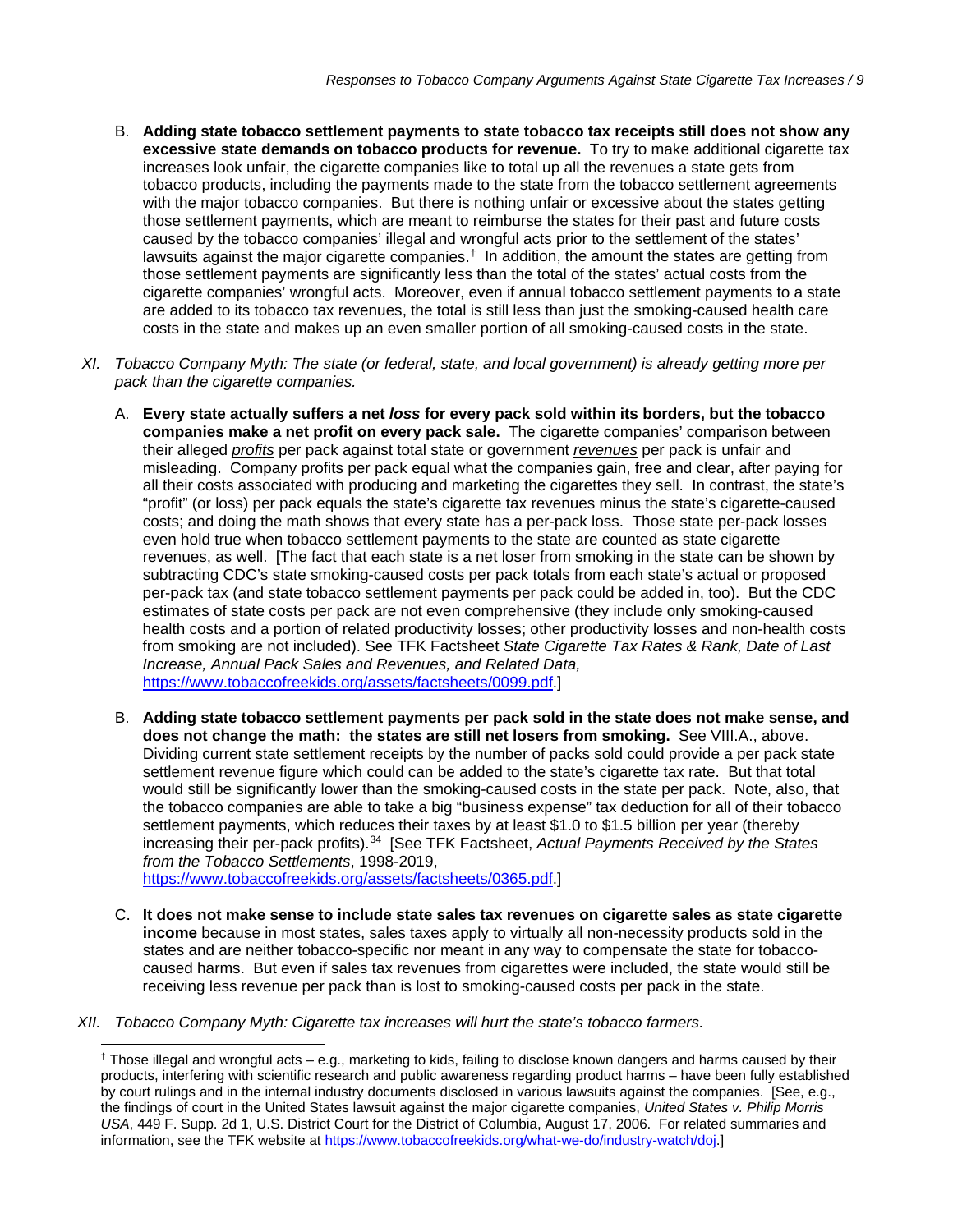- B. **Adding state tobacco settlement payments to state tobacco tax receipts still does not show any excessive state demands on tobacco products for revenue.** To try to make additional cigarette tax increases look unfair, the cigarette companies like to total up all the revenues a state gets from tobacco products, including the payments made to the state from the tobacco settlement agreements with the major tobacco companies. But there is nothing unfair or excessive about the states getting those settlement payments, which are meant to reimburse the states for their past and future costs caused by the tobacco companies' illegal and wrongful acts prior to the settlement of the states' lawsuits against the major cigarette companies.<sup>[†](#page-8-0)</sup> In addition, the amount the states are getting from those settlement payments are significantly less than the total of the states' actual costs from the cigarette companies' wrongful acts. Moreover, even if annual tobacco settlement payments to a state are added to its tobacco tax revenues, the total is still less than just the smoking-caused health care costs in the state and makes up an even smaller portion of all smoking-caused costs in the state.
- *XI. Tobacco Company Myth: The state (or federal, state, and local government) is already getting more per pack than the cigarette companies.*
	- A. **Every state actually suffers a net** *loss* **for every pack sold within its borders, but the tobacco companies make a net profit on every pack sale.** The cigarette companies' comparison between their alleged *profits* per pack against total state or government *revenues* per pack is unfair and misleading. Company profits per pack equal what the companies gain, free and clear, after paying for all their costs associated with producing and marketing the cigarettes they sell. In contrast, the state's "profit" (or loss) per pack equals the state's cigarette tax revenues minus the state's cigarette-caused costs; and doing the math shows that every state has a per-pack loss. Those state per-pack losses even hold true when tobacco settlement payments to the state are counted as state cigarette revenues, as well. [The fact that each state is a net loser from smoking in the state can be shown by subtracting CDC's state smoking-caused costs per pack totals from each state's actual or proposed per-pack tax (and state tobacco settlement payments per pack could be added in, too). But the CDC estimates of state costs per pack are not even comprehensive (they include only smoking-caused health costs and a portion of related productivity losses; other productivity losses and non-health costs from smoking are not included). See TFK Factsheet *State Cigarette Tax Rates & Rank, Date of Last Increase, Annual Pack Sales and Revenues, and Related Data,*  [https://www.tobaccofreekids.org/assets/factsheets/0099.pdf.](https://www.tobaccofreekids.org/assets/factsheets/0099.pdf)]
	- B. **Adding state tobacco settlement payments per pack sold in the state does not make sense, and does not change the math: the states are still net losers from smoking.** See VIII.A., above. Dividing current state settlement receipts by the number of packs sold could provide a per pack state settlement revenue figure which could can be added to the state's cigarette tax rate. But that total would still be significantly lower than the smoking-caused costs in the state per pack. Note, also, that the tobacco companies are able to take a big "business expense" tax deduction for all of their tobacco settlement payments, which reduces their taxes by at least \$1.0 to \$1.5 billion per year (thereby increasing their per-pack profits).[34](#page-12-17) [See TFK Factsheet, *Actual Payments Received by the States from the Tobacco Settlements*, 1998-2019,

[https://www.tobaccofreekids.org/assets/factsheets/0365.pdf.](https://www.tobaccofreekids.org/assets/factsheets/0365.pdf)]

- C. **It does not make sense to include state sales tax revenues on cigarette sales as state cigarette income** because in most states, sales taxes apply to virtually all non-necessity products sold in the states and are neither tobacco-specific nor meant in any way to compensate the state for tobaccocaused harms. But even if sales tax revenues from cigarettes were included, the state would still be receiving less revenue per pack than is lost to smoking-caused costs per pack in the state.
- <span id="page-8-0"></span>*XII. Tobacco Company Myth: Cigarette tax increases will hurt the state's tobacco farmers.*

 $\dagger$  Those illegal and wrongful acts – e.g., marketing to kids, failing to disclose known dangers and harms caused by their products, interfering with scientific research and public awareness regarding product harms – have been fully established by court rulings and in the internal industry documents disclosed in various lawsuits against the companies. [See, e.g., the findings of court in the United States lawsuit against the major cigarette companies, *United States v. Philip Morris USA*, 449 F. Supp. 2d 1, U.S. District Court for the District of Columbia, August 17, 2006. For related summaries and information, see the TFK website at [https://www.tobaccofreekids.org/what-we-do/industry-watch/doj.\]](https://www.tobaccofreekids.org/what-we-do/industry-watch/doj)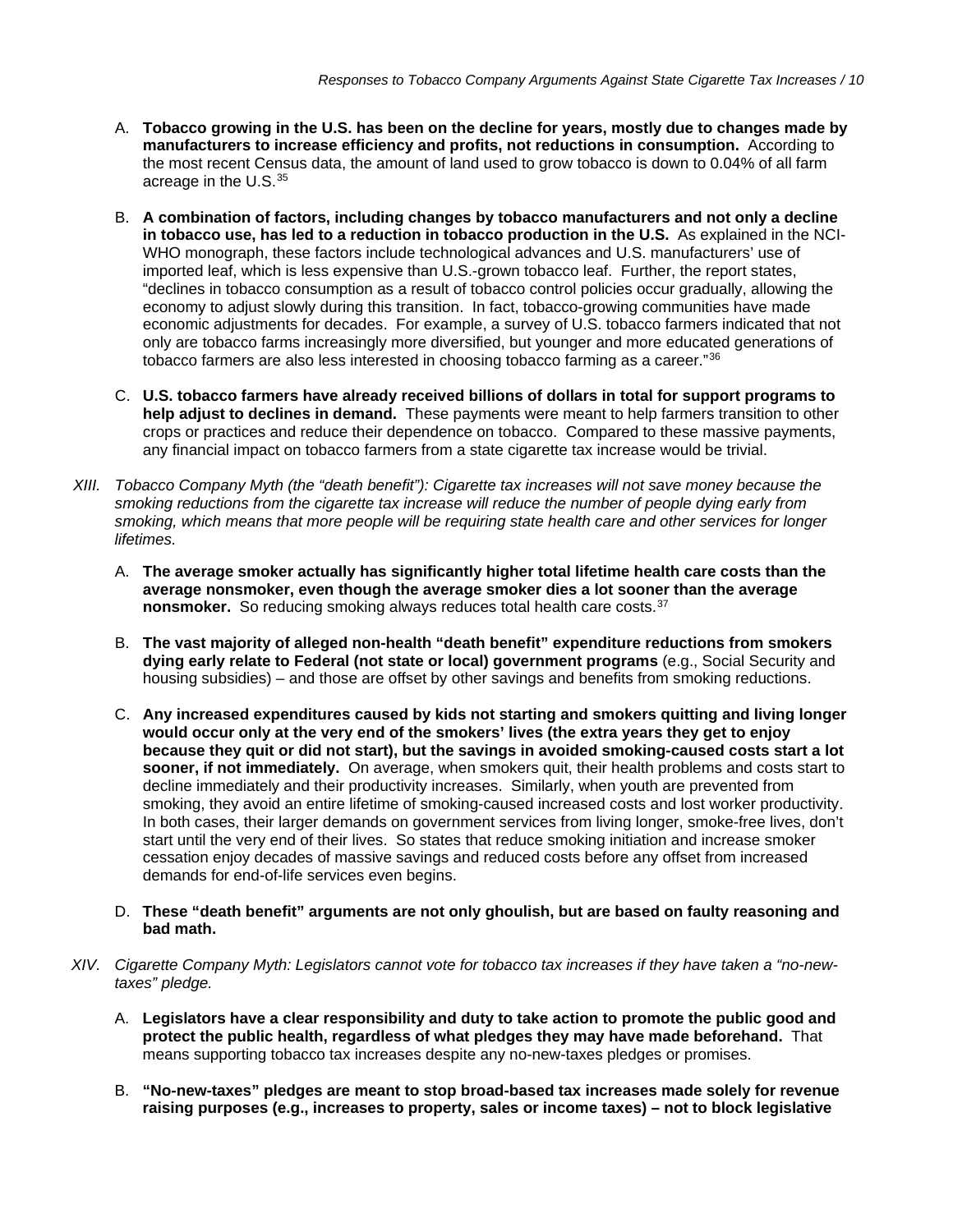- A. **Tobacco growing in the U.S. has been on the decline for years, mostly due to changes made by manufacturers to increase efficiency and profits, not reductions in consumption.** According to the most recent Census data, the amount of land used to grow tobacco is down to 0.04% of all farm acreage in the U.S.[35](#page-12-18)
- B. **A combination of factors, including changes by tobacco manufacturers and not only a decline in tobacco use, has led to a reduction in tobacco production in the U.S.** As explained in the NCI-WHO monograph, these factors include technological advances and U.S. manufacturers' use of imported leaf, which is less expensive than U.S.-grown tobacco leaf. Further, the report states, "declines in tobacco consumption as a result of tobacco control policies occur gradually, allowing the economy to adjust slowly during this transition. In fact, tobacco-growing communities have made economic adjustments for decades. For example, a survey of U.S. tobacco farmers indicated that not only are tobacco farms increasingly more diversified, but younger and more educated generations of tobacco farmers are also less interested in choosing tobacco farming as a career."[36](#page-12-19)
- C. **U.S. tobacco farmers have already received billions of dollars in total for support programs to help adjust to declines in demand.** These payments were meant to help farmers transition to other crops or practices and reduce their dependence on tobacco. Compared to these massive payments, any financial impact on tobacco farmers from a state cigarette tax increase would be trivial.
- *XIII. Tobacco Company Myth (the "death benefit"): Cigarette tax increases will not save money because the smoking reductions from the cigarette tax increase will reduce the number of people dying early from smoking, which means that more people will be requiring state health care and other services for longer lifetimes.*
	- A. **The average smoker actually has significantly higher total lifetime health care costs than the average nonsmoker, even though the average smoker dies a lot sooner than the average nonsmoker.** So reducing smoking always reduces total health care costs.<sup>[37](#page-12-20)</sup>
	- B. **The vast majority of alleged non-health "death benefit" expenditure reductions from smokers dying early relate to Federal (not state or local) government programs** (e.g., Social Security and housing subsidies) – and those are offset by other savings and benefits from smoking reductions.
	- C. **Any increased expenditures caused by kids not starting and smokers quitting and living longer would occur only at the very end of the smokers' lives (the extra years they get to enjoy because they quit or did not start), but the savings in avoided smoking-caused costs start a lot sooner, if not immediately.** On average, when smokers quit, their health problems and costs start to decline immediately and their productivity increases. Similarly, when youth are prevented from smoking, they avoid an entire lifetime of smoking-caused increased costs and lost worker productivity. In both cases, their larger demands on government services from living longer, smoke-free lives, don't start until the very end of their lives. So states that reduce smoking initiation and increase smoker cessation enjoy decades of massive savings and reduced costs before any offset from increased demands for end-of-life services even begins.
	- D. **These "death benefit" arguments are not only ghoulish, but are based on faulty reasoning and bad math.**
- *XIV. Cigarette Company Myth: Legislators cannot vote for tobacco tax increases if they have taken a "no-newtaxes" pledge.*
	- A. **Legislators have a clear responsibility and duty to take action to promote the public good and protect the public health, regardless of what pledges they may have made beforehand.** That means supporting tobacco tax increases despite any no-new-taxes pledges or promises.
	- B. **"No-new-taxes" pledges are meant to stop broad-based tax increases made solely for revenue raising purposes (e.g., increases to property, sales or income taxes) – not to block legislative**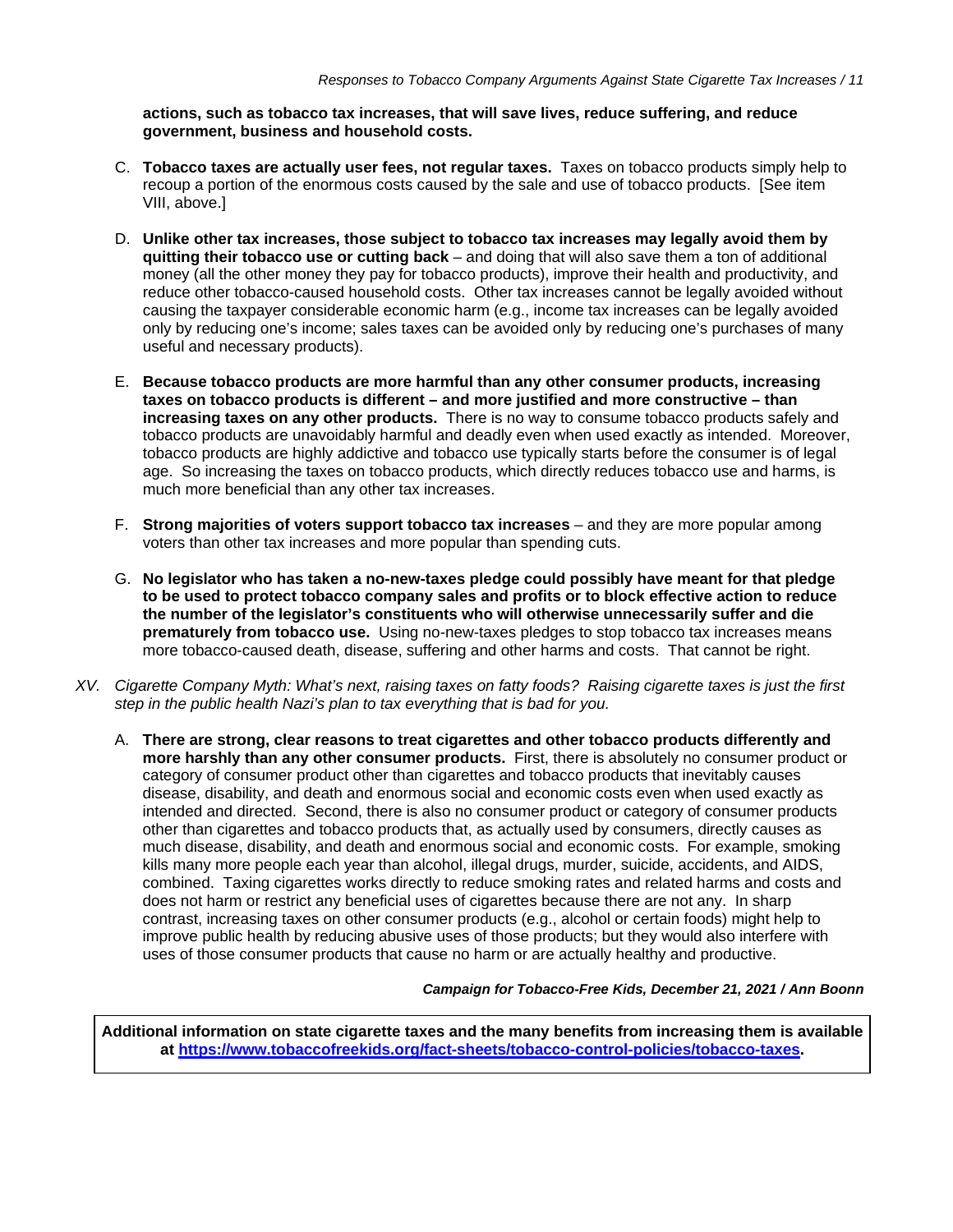**actions, such as tobacco tax increases, that will save lives, reduce suffering, and reduce government, business and household costs.**

- C. **Tobacco taxes are actually user fees, not regular taxes.** Taxes on tobacco products simply help to recoup a portion of the enormous costs caused by the sale and use of tobacco products. [See item VIII, above.]
- D. **Unlike other tax increases, those subject to tobacco tax increases may legally avoid them by quitting their tobacco use or cutting back** – and doing that will also save them a ton of additional money (all the other money they pay for tobacco products), improve their health and productivity, and reduce other tobacco-caused household costs. Other tax increases cannot be legally avoided without causing the taxpayer considerable economic harm (e.g., income tax increases can be legally avoided only by reducing one's income; sales taxes can be avoided only by reducing one's purchases of many useful and necessary products).
- E. **Because tobacco products are more harmful than any other consumer products, increasing taxes on tobacco products is different – and more justified and more constructive – than increasing taxes on any other products.** There is no way to consume tobacco products safely and tobacco products are unavoidably harmful and deadly even when used exactly as intended. Moreover, tobacco products are highly addictive and tobacco use typically starts before the consumer is of legal age. So increasing the taxes on tobacco products, which directly reduces tobacco use and harms, is much more beneficial than any other tax increases.
- F. **Strong majorities of voters support tobacco tax increases** and they are more popular among voters than other tax increases and more popular than spending cuts.
- G. **No legislator who has taken a no-new-taxes pledge could possibly have meant for that pledge to be used to protect tobacco company sales and profits or to block effective action to reduce the number of the legislator's constituents who will otherwise unnecessarily suffer and die prematurely from tobacco use.** Using no-new-taxes pledges to stop tobacco tax increases means more tobacco-caused death, disease, suffering and other harms and costs. That cannot be right.
- *XV. Cigarette Company Myth: What's next, raising taxes on fatty foods? Raising cigarette taxes is just the first step in the public health Nazi's plan to tax everything that is bad for you.*
	- A. **There are strong, clear reasons to treat cigarettes and other tobacco products differently and more harshly than any other consumer products.** First, there is absolutely no consumer product or category of consumer product other than cigarettes and tobacco products that inevitably causes disease, disability, and death and enormous social and economic costs even when used exactly as intended and directed. Second, there is also no consumer product or category of consumer products other than cigarettes and tobacco products that, as actually used by consumers, directly causes as much disease, disability, and death and enormous social and economic costs. For example, smoking kills many more people each year than alcohol, illegal drugs, murder, suicide, accidents, and AIDS, combined. Taxing cigarettes works directly to reduce smoking rates and related harms and costs and does not harm or restrict any beneficial uses of cigarettes because there are not any. In sharp contrast, increasing taxes on other consumer products (e.g., alcohol or certain foods) might help to improve public health by reducing abusive uses of those products; but they would also interfere with uses of those consumer products that cause no harm or are actually healthy and productive.

*Campaign for Tobacco-Free Kids, December 21, 2021 / Ann Boonn*

**Additional information on state cigarette taxes and the many benefits from increasing them is available at [https://www.tobaccofreekids.org/fact-sheets/tobacco-control-policies/tobacco-taxes.](https://www.tobaccofreekids.org/fact-sheets/tobacco-control-policies/tobacco-taxes)**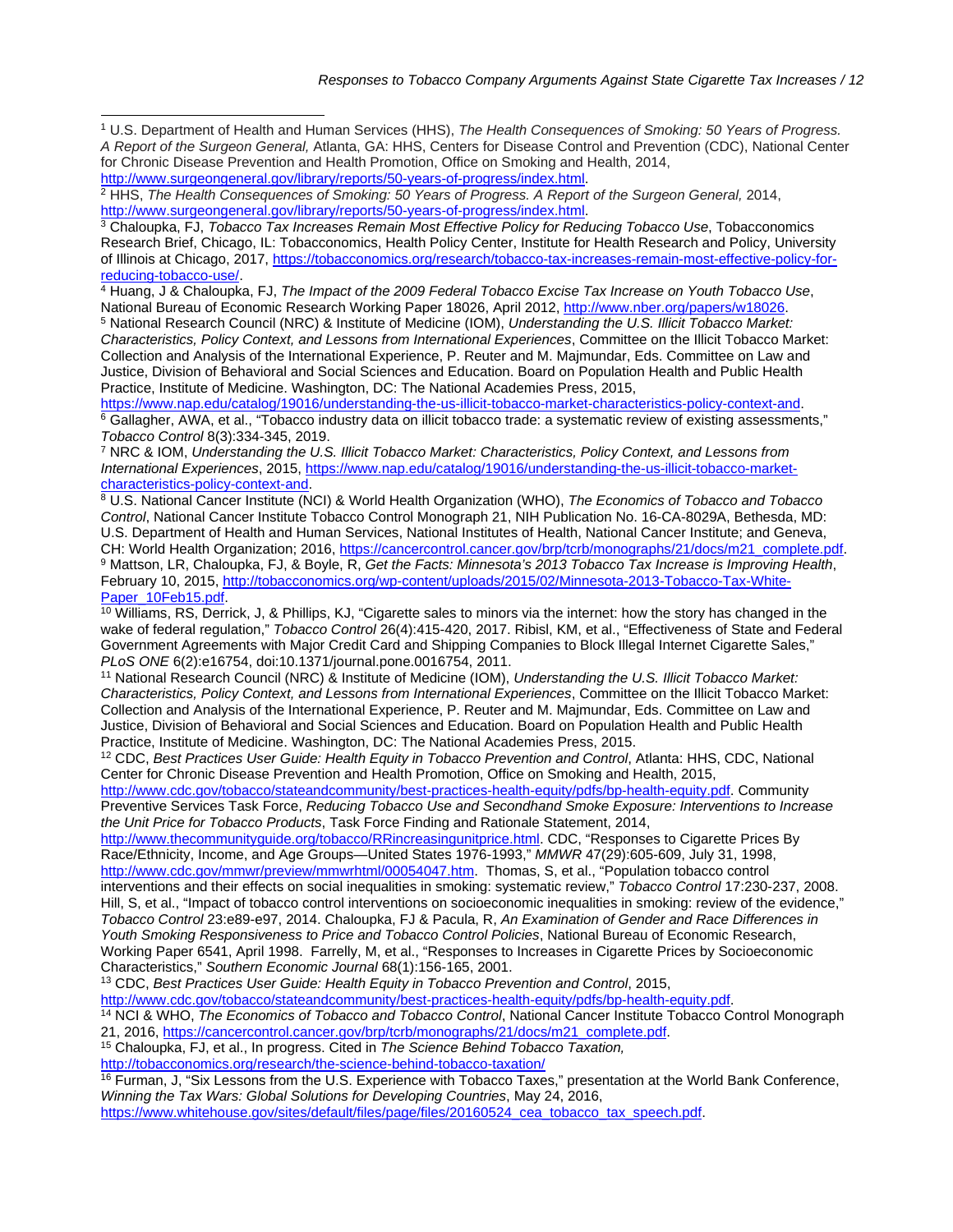<span id="page-11-0"></span><sup>1</sup> U.S. Department of Health and Human Services (HHS), *The Health Consequences of Smoking: 50 Years of Progress. A Report of the Surgeon General,* Atlanta, GA: HHS, Centers for Disease Control and Prevention (CDC), National Center for Chronic Disease Prevention and Health Promotion, Office on Smoking and Health, 2014, [http://www.surgeongeneral.gov/library/reports/50-years-of-progress/index.html.](http://www.surgeongeneral.gov/library/reports/50-years-of-progress/index.html)

<span id="page-11-2"></span><sup>3</sup> Chaloupka, FJ, *Tobacco Tax Increases Remain Most Effective Policy for Reducing Tobacco Use*, Tobacconomics Research Brief, Chicago, IL: Tobacconomics, Health Policy Center, Institute for Health Research and Policy, University of Illinois at Chicago, 2017, [https://tobacconomics.org/research/tobacco-tax-increases-remain-most-effective-policy-for](https://tobacconomics.org/research/tobacco-tax-increases-remain-most-effective-policy-for-reducing-tobacco-use/)[reducing-tobacco-use/.](https://tobacconomics.org/research/tobacco-tax-increases-remain-most-effective-policy-for-reducing-tobacco-use/)

<span id="page-11-3"></span><sup>4</sup> Huang, J & Chaloupka, FJ, *The Impact of the 2009 Federal Tobacco Excise Tax Increase on Youth Tobacco Use*, National Bureau of Economic Research Working Paper 18026, April 2012, [http://www.nber.org/papers/w18026.](http://www.nber.org/papers/w18026) 5 National Research Council (NRC) & Institute of Medicine (IOM), *Understanding the U.S. Illicit Tobacco Market:* 

<span id="page-11-4"></span>*Characteristics, Policy Context, and Lessons from International Experiences*, Committee on the Illicit Tobacco Market: Collection and Analysis of the International Experience, P. Reuter and M. Majmundar, Eds. Committee on Law and Justice, Division of Behavioral and Social Sciences and Education. Board on Population Health and Public Health Practice, Institute of Medicine. Washington, DC: The National Academies Press, 2015,

<span id="page-11-5"></span>[https://www.nap.edu/catalog/19016/understanding-the-us-illicit-tobacco-market-characteristics-policy-context-and.](https://www.nap.edu/catalog/19016/understanding-the-us-illicit-tobacco-market-characteristics-policy-context-and) <sup>6</sup> Gallagher, AWA, et al., "Tobacco industry data on illicit tobacco trade: a systematic review of existing assessments," *Tobacco Control* 8(3):334-345, 2019.

<span id="page-11-6"></span><sup>7</sup> NRC & IOM, *Understanding the U.S. Illicit Tobacco Market: Characteristics, Policy Context, and Lessons from International Experiences*, 2015, [https://www.nap.edu/catalog/19016/understanding-the-us-illicit-tobacco-market](https://www.nap.edu/catalog/19016/understanding-the-us-illicit-tobacco-market-characteristics-policy-context-and)[characteristics-policy-context-and.](https://www.nap.edu/catalog/19016/understanding-the-us-illicit-tobacco-market-characteristics-policy-context-and)

<span id="page-11-7"></span><sup>8</sup> U.S. National Cancer Institute (NCI) & World Health Organization (WHO), *The Economics of Tobacco and Tobacco Control*, National Cancer Institute Tobacco Control Monograph 21, NIH Publication No. 16-CA-8029A, Bethesda, MD: U.S. Department of Health and Human Services, National Institutes of Health, National Cancer Institute; and Geneva, CH: World Health Organization; 2016, [https://cancercontrol.cancer.gov/brp/tcrb/monographs/21/docs/m21\\_complete.pdf.](https://cancercontrol.cancer.gov/brp/tcrb/monographs/21/docs/m21_complete.pdf) <sup>9</sup> Mattson, LR, Chaloupka, FJ, & Boyle, R, *Get the Facts: Minnesota's 2013 Tobacco Tax Increase is Improving Health*, February 10, 2015, http://tobacconomics.org/wp-content/uploads/2015/02/Minnesota-2013-Tobacco-Tax-White-<br>Paper\_10Feb15.pdf.

<span id="page-11-9"></span><span id="page-11-8"></span> $\frac{10}{10}$  Williams, RS, Derrick, J, & Phillips, KJ, "Cigarette sales to minors via the internet: how the story has changed in the wake of federal regulation," *Tobacco Control* 26(4):415-420, 2017. Ribisl, KM, et al., "Effectiveness of State and Federal Government Agreements with Major Credit Card and Shipping Companies to Block Illegal Internet Cigarette Sales," *PLoS ONE* 6(2):e16754, doi:10.1371/journal.pone.0016754, 2011.

<span id="page-11-10"></span><sup>11</sup> National Research Council (NRC) & Institute of Medicine (IOM), *Understanding the U.S. Illicit Tobacco Market: Characteristics, Policy Context, and Lessons from International Experiences*, Committee on the Illicit Tobacco Market: Collection and Analysis of the International Experience, P. Reuter and M. Majmundar, Eds. Committee on Law and Justice, Division of Behavioral and Social Sciences and Education. Board on Population Health and Public Health Practice, Institute of Medicine. Washington, DC: The National Academies Press, 2015.

<span id="page-11-11"></span><sup>12</sup> CDC, *Best Practices User Guide: Health Equity in Tobacco Prevention and Control*, Atlanta: HHS, CDC, National Center for Chronic Disease Prevention and Health Promotion, Office on Smoking and Health, 2015,

[http://www.cdc.gov/tobacco/stateandcommunity/best-practices-health-equity/pdfs/bp-health-equity.pdf.](http://www.cdc.gov/tobacco/stateandcommunity/best-practices-health-equity/pdfs/bp-health-equity.pdf) Community Preventive Services Task Force, *Reducing Tobacco Use and Secondhand Smoke Exposure: Interventions to Increase the Unit Price for Tobacco Products*, Task Force Finding and Rationale Statement, 2014,

[http://www.thecommunityguide.org/tobacco/RRincreasingunitprice.html.](http://www.thecommunityguide.org/tobacco/RRincreasingunitprice.html) CDC, "Responses to Cigarette Prices By Race/Ethnicity, Income, and Age Groups—United States 1976-1993," *MMWR* 47(29):605-609, July 31, 1998, [http://www.cdc.gov/mmwr/preview/mmwrhtml/00054047.htm.](http://www.cdc.gov/mmwr) Thomas, S, et al., "Population tobacco control

interventions and their effects on social inequalities in smoking: systematic review," *Tobacco Control* 17:230-237, 2008. Hill, S, et al., "Impact of tobacco control interventions on socioeconomic inequalities in smoking: review of the evidence," *Tobacco Control* 23:e89-e97, 2014. Chaloupka, FJ & Pacula, R, *An Examination of Gender and Race Differences in Youth Smoking Responsiveness to Price and Tobacco Control Policies*, National Bureau of Economic Research, Working Paper 6541, April 1998. Farrelly, M, et al., "Responses to Increases in Cigarette Prices by Socioeconomic Characteristics," *Southern Economic Journal* 68(1):156-165, 2001.

<span id="page-11-12"></span><sup>13</sup> CDC, *Best Practices User Guide: Health Equity in Tobacco Prevention and Control*, 2015,

[http://www.cdc.gov/tobacco/stateandcommunity/best-practices-health-equity/pdfs/bp-health-equity.pdf.](http://www.cdc.gov/tobacco/stateandcommunity/best-practices-health-equity/pdfs/bp-health-equity.pdf)

- <span id="page-11-13"></span><sup>14</sup> NCI & WHO, *The Economics of Tobacco and Tobacco Control*, National Cancer Institute Tobacco Control Monograph 21, 2016, [https://cancercontrol.cancer.gov/brp/tcrb/monographs/21/docs/m21\\_complete.pdf.](https://cancercontrol.cancer.gov/brp/tcrb/monographs/21/docs/m21_complete.pdf)
- <sup>15</sup> Chaloupka, FJ, et al., In progress. Cited in *The Science Behind Tobacco Taxation,*

<span id="page-11-14"></span><http://tobacconomics.org/research/the-science-behind-tobacco-taxation/>

<span id="page-11-15"></span><sup>16</sup> Furman, J, "Six Lessons from the U.S. Experience with Tobacco Taxes," presentation at the World Bank Conference, *Winning the Tax Wars: Global Solutions for Developing Countries*, May 24, 2016,

[https://www.whitehouse.gov/sites/default/files/page/files/20160524\\_cea\\_tobacco\\_tax\\_speech.pdf.](https://www.whitehouse.gov/sites/default/files/page/files/20160524_cea_tobacco_tax_speech.pdf)

<span id="page-11-1"></span><sup>&</sup>lt;sup>2</sup> HHS, *The Health Consequences of Smoking: 50 Years of Progress. A Report of the Surgeon General, 2014,* [http://www.surgeongeneral.gov/library/reports/50-years-of-progress/index.html.](http://www.surgeongeneral.gov/library/reports/50-years-of-progress/index.html)